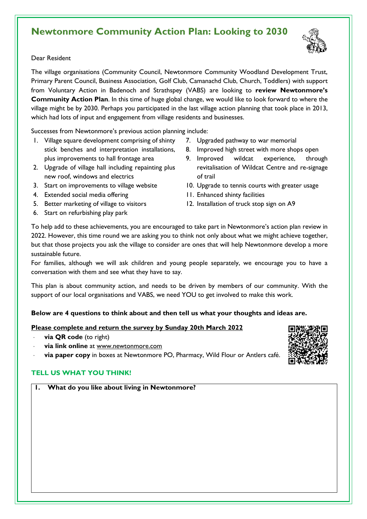# **Newtonmore Community Action Plan: Looking to 2030**



#### Dear Resident

The village organisations (Community Council, Newtonmore Community Woodland Development Trust, Primary Parent Council, Business Association, Golf Club, Camanachd Club, Church, Toddlers) with support from Voluntary Action in Badenoch and Strathspey (VABS) are looking to **review Newtonmore's Community Action Plan**. In this time of huge global change, we would like to look forward to where the village might be by 2030. Perhaps you participated in the last village action planning that took place in 2013, which had lots of input and engagement from village residents and businesses.

Successes from Newtonmore's previous action planning include:

- 1. Village square development comprising of shinty stick benches and interpretation installations, plus improvements to hall frontage area
- 2. Upgrade of village hall including repainting plus new roof, windows and electrics
- 3. Start on improvements to village website
- 4. Extended social media offering
- 5. Better marketing of village to visitors
- 6. Start on refurbishing play park
- 7. Upgraded pathway to war memorial
- 8. Improved high street with more shops open
- 9. Improved wildcat experience, through revitalisation of Wildcat Centre and re-signage of trail
- 10. Upgrade to tennis courts with greater usage
- 11. Enhanced shinty facilities
- 12. Installation of truck stop sign on A9

To help add to these achievements, you are encouraged to take part in Newtonmore's action plan review in 2022. However, this time round we are asking you to think not only about what we might achieve together, but that those projects you ask the village to consider are ones that will help Newtonmore develop a more sustainable future.

For families, although we will ask children and young people separately, we encourage you to have a conversation with them and see what they have to say.

This plan is about community action, and needs to be driven by members of our community. With the support of our local organisations and VABS, we need YOU to get involved to make this work.

### **Below are 4 questions to think about and then tell us what your thoughts and ideas are.**

#### **Please complete and return the survey by Sunday 20th March 2022**

- **via QR code** (to right)
- **via link online** at [www.newtonmore.com](http://www.carrbridge.com/)
- **via paper copy** in boxes at Newtonmore PO, Pharmacy, Wild Flour or Antlers café.

### **TELL US WHAT YOU THINK!**

**1. What do you like about living in Newtonmore?**